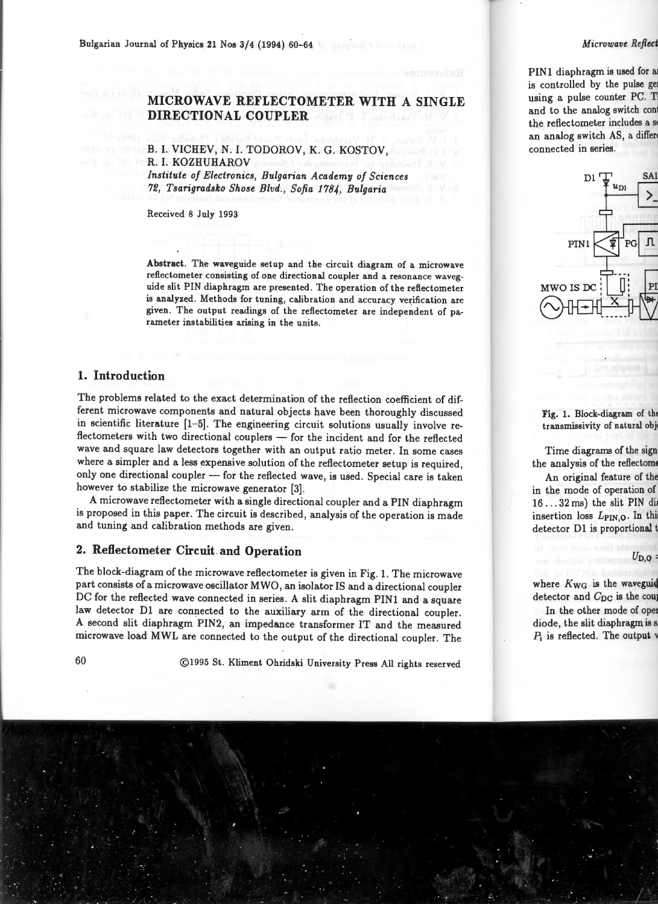Bulgarian Journal of Physics 21 Nos 3/4 (1994) 60-64

## **MICROWAVE REFLECTOMETER WITH A SINGLE DIRECTIONAL COUPLER**

### B. I. VICHEV, N. I. TODOROV, K. G. KOSTOV, R. I. KOZHUHAROV *Institute of Electronics, Bulgarian Academy of Sciences*

*72, Tsarigradsko Shose Blvd. , Sofia 1784, Bulgaria* 

Received 8 July 1993

Abstract. The waveguide setup and the circuit diagram of a microwave refiectometer consisting of one directional coupler and a resonance waveguide slit PIN diaphragm are presented. The operation of the refiectometer is analyzed. Methods for tuning, calibration and accuracy verification are given. The output readings of the refiectometer are independent of parameter instabilities arising in the units.

### **1. Introduction**

The problems related to the exact determination of the reflection coefficient of different microwave components and natural objects have been thoroughly discussed in scientific literature (1-5). The engineering circuit solutions usually involve reflectometers with two directional couplers - for the incident and for the reflected wave and square law detectors together with an output ratio meter. In some cases where a simpler and a less expensive solution of the reflectometer setup is required, only one directional coupler - for the reflected wave, is used. Special care is taken however to stabilize the microwave generator [3].

A microwave reflectometer with a single directional coupler and a PIN diaphragm is proposed in this paper. The circuit is described, analysis of the operation is made and tuning and calibration methods are given.

# **2. Reflectometer Circuit and Operation**

The block-diagram of the microwave reflectometer is given in Fig. 1. The microwave part consists of a microwave oscillator MWO , an isolator IS and a directional coupler DC for the reflected wave connected in series. A slit diaphragm PIN1 and a square law detector Dl are connected to the auxiliary arm of the directional coupler. A second slit diaphragm PIN2, an impedance transformer IT and the measured microwave load MWL are connected to the output of the directional coupler. The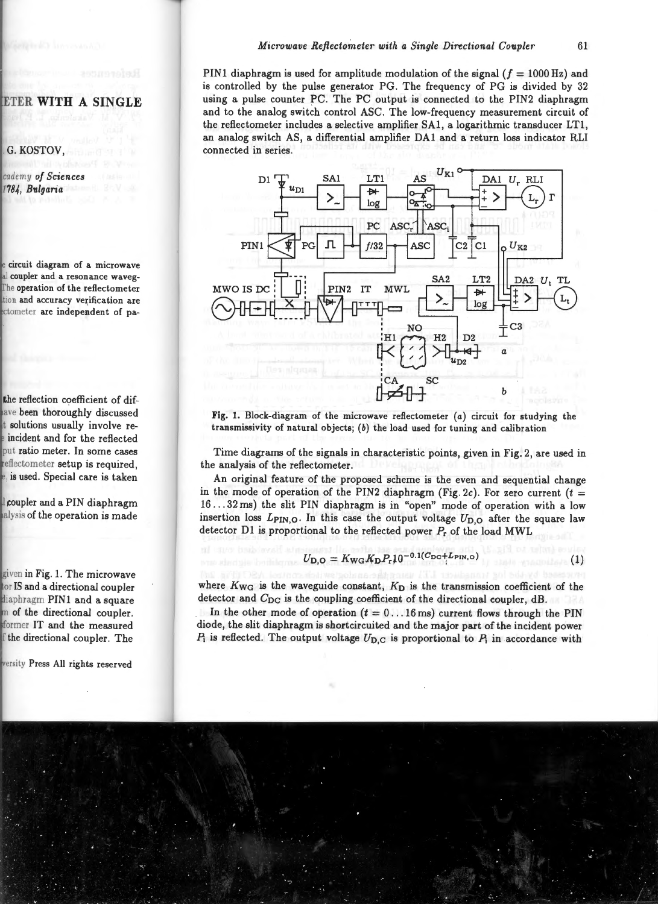PIN1 diaphragm is used for amplitude modulation of the signal ( $f = 1000$  Hz) and is controlled by the pulse generator PG. The frequency of PG is divided by 32 using a pulse counter PC. The PC output is connected to the PIN2 diaphragm and to the analog switch control ASC. The low-frequency measurement circuit of the reflectometer includes a selective amplifier SAI, a logarithmic transducer LTI, an analog switch AS, a differential amplifier DAI and a return loss indicator RLI connected in series .



**Fig.** 1. Block-diagram of the microwave reftectometer (a) circuit for studying the transmissivity of natural objects; *(b)* the load used for tuning and calibration

Time diagrams of the signals in characteristic points, given in Fig. 2, are used in the analysis of the reflectometer.

An original feature of the proposed scheme is the even and sequential change in the mode of operation of the PIN2 diaphragm (Fig. 2c). For zero current  $(t =$ I6 ... 32 ms) the slit PIN diaphragm is in "open" mode of operation with a low insertion loss  $L_{\text{PIN,O}}$ . In this case the output voltage  $U_{\text{D,O}}$  after the square law detector DI is proportional to the reflected power *Pr* of the load MWL

$$
U_{\rm D,O} = K_{\rm WG} K_{\rm D} P_{\rm r} 10^{-0.1(C_{\rm DC} + L_{\rm PIN,O})}
$$
 (1)

where *K wa* is the waveguide constant, *Kn* is the transmission coefficient of the detector and *C*<sub>DC</sub> is the coupling coefficient of the directional coupler, dB.

In the other mode of operation  $(t = 0 \dots 16 \text{ ms})$  current flows through the PIN diode, the slit diaphragm is shortcircuited and the major part of the incident power  $P_i$  is reflected. The output voltage  $U_{D,C}$  is proportional to  $P_i$  in accordance with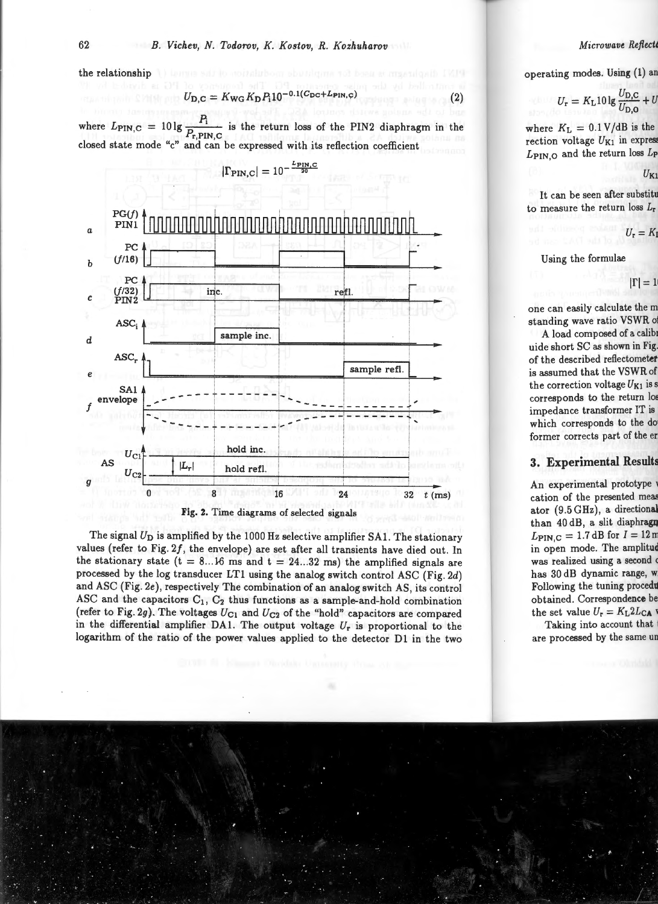the relationship

$$
U_{\rm D,C} = K_{\rm WG} K_{\rm D} P_1 10^{-0.1 (C_{\rm DC} + L_{\rm PIN,C})}
$$
 (2)

where  $L_{\text{PIN},\text{C}} = 10 \lg \frac{P_i}{P_{\text{r,PIN},\text{C}}}$  is the return loss of the PIN2 diaphragm in the closed state mode "c" and can be expressed with its reflection coefficient



Fig. 2. Time diagrams of selected signals

The signal  $U_D$  is amplified by the 1000 Hz selective amplifier SA1. The stationary values (refer to Fig.  $2f$ , the envelope) are set after all transients have died out. In the stationary state  $(t = 8...16$  ms and  $t = 24...32$  ms) the amplified signals are processed by the log transducer LTl using the analog switch control ASC (Fig. 2d) and ASC (Fig. 2e), respectively The combination of an analog switch AS, its control ASC and the capacitors  $C_1$ ,  $C_2$  thus functions as a sample-and-hold combination (refer to Fig. 2g). The voltages  $U_{C1}$  and  $U_{C2}$  of the "hold" capacitors are compared in the differential amplifier DAL The output voltage *Ur* is proportional to the logarithm of the ratio of the power values applied to the detector Dl in the two

 $|\Gamma_{\text{PIN},\text{C}}| = 10^{-\frac{L_{\text{PIN},\text{C}}}{20}}$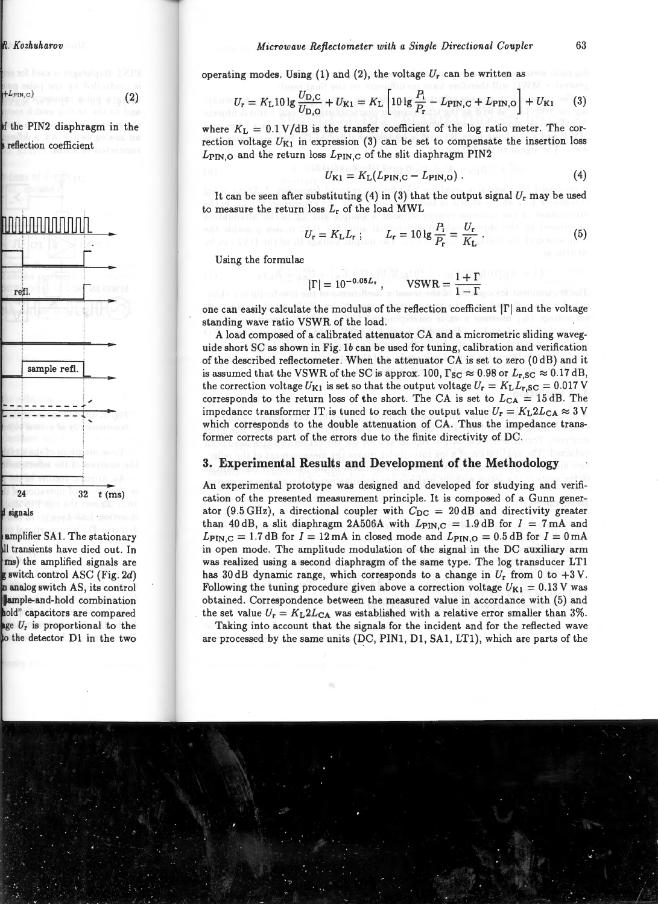operating modes. Using (1) and (2), the voltage  $U_r$  can be written as

$$
U_{\rm r} = K_{\rm L} 10 \lg \frac{U_{\rm D,C}}{U_{\rm D,O}} + U_{\rm K1} = K_{\rm L} \left[ 10 \lg \frac{P_{\rm i}}{P_{\rm r}} - L_{\rm PIN,C} + L_{\rm PIN,O} \right] + U_{\rm K1} \tag{3}
$$

where  $K_L = 0.1 V / dB$  is the transfer coefficient of the log ratio meter. The correction voltage  $U_{K1}$  in expression (3) can be set to compensate the insertion loss  $L_{\text{PINO}}$  and the return loss  $L_{\text{PINC}}$  of the slit diaphragm PIN2

$$
U_{\rm K1} = K_{\rm L}(L_{\rm PIN,C} - L_{\rm PIN,O})\,. \tag{4}
$$

It can be seen after substituting (4) in (3) that the output signal  $U_r$  may be used to measure the return loss  $L_r$  of the load MWL

$$
U_{\rm r} = K_{\rm L} L_{\rm r} \; ; \qquad L_{\rm r} = 10 \lg \frac{P_{\rm i}}{P_{\rm r}} = \frac{U_{\rm r}}{K_{\rm L}} \; . \tag{5}
$$

Using the formulae

$$
|\Gamma| = 10^{-0.05L_{\rm r}}, \qquad \text{VSWR} = \frac{1+\Gamma}{1-\Gamma}
$$

one can easily calculate the modulus of the reflection coefficient  $|\Gamma|$  and the voltage standing wave ratio VSWR of the load.

A load composed of a calibrated attenuator CA and a micrometric sliding waveguide short SC as shown in Fig. lb can be used for tuning, calibration and verification of the described reflectometer. When the attenuator CA is set to zero (0 dB) and it is assumed that the VSWR of the SC is approx. 100,  $\Gamma_{SC} \approx 0.98$  or  $L_{r,SC} \approx 0.17$  dB, the correction voltage  $U_{K1}$  is set so that the output voltage  $U_r = K_L L_{r,SC} = 0.017$  V corresponds to the return loss of the short. The CA is set to  $L_{CA} = 15$  dB. The impedance transformer IT is tuned to reach the output value  $U_r = K_L 2L_{CA} \approx 3$  V which corresponds to the double attenuation of CA. Thus the impedance transformer corrects part of the errors due to the finite directivity of DC.

### **3. Experimental Results and Development of the Methodology**

An experimental prototype was designed and developed for studying and verification of the presented measurement principle. It is composed of a Gunn generator (9.5 GHz), a directional coupler with  $C_{\text{DC}} = 20 \text{ dB}$  and directivity greater than 40 dB, a slit diaphragm 2A506A with  $L_{\text{PIN},C} = 1.9$  dB for  $I = 7 \text{ mA}$  and  $L_{\text{PIN},\text{C}} = 1.7 \text{ dB}$  for  $I = 12 \text{ mA}$  in closed mode and  $L_{\text{PIN},\text{O}} = 0.5 \text{ dB}$  for  $I = 0 \text{ mA}$ in open mode . The amplitude modulation of the signal in the DC auxiliary arm was realized using a second diaphragm of the same type. The log transducer LTl has 30 dB dynamic range, which corresponds to a change in  $U_r$  from 0 to  $+3$  V. Following the tuning procedure given above a correction voltage  $U_{K1} = 0.13$  V was obtained. Correspondence between the measured value in accordance with (5) and the set value  $U_r = K_L 2L_{CA}$  was established with a relative error smaller than 3%.

Taking into account that the signals for the incident and for the reflected wave are processed by the same units (DC, PIN1, D1, SA1, LT1), which are parts of the